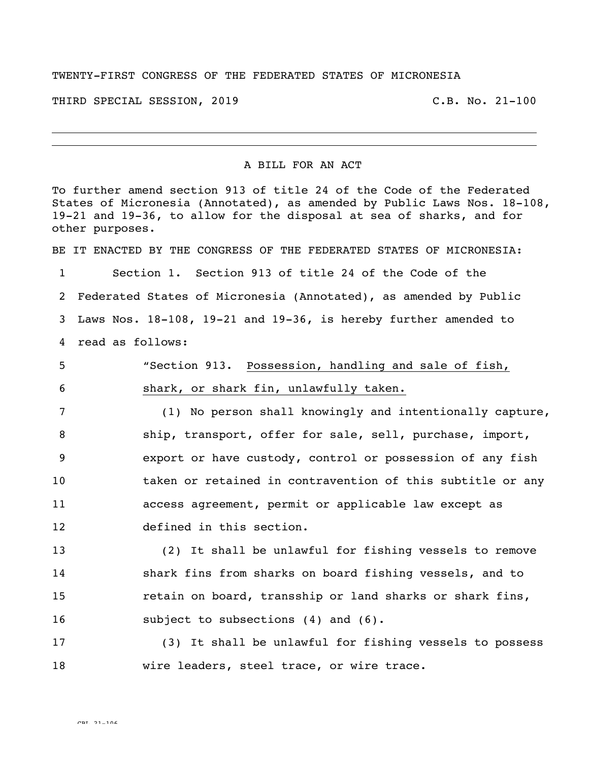## TWENTY-FIRST CONGRESS OF THE FEDERATED STATES OF MICRONESIA

THIRD SPECIAL SESSION, 2019 C.B. No. 21-100

## A BILL FOR AN ACT

To further amend section 913 of title 24 of the Code of the Federated States of Micronesia (Annotated), as amended by Public Laws Nos. 18-108, 19-21 and 19-36, to allow for the disposal at sea of sharks, and for other purposes. BE IT ENACTED BY THE CONGRESS OF THE FEDERATED STATES OF MICRONESIA: Section 1. Section 913 of title 24 of the Code of the Federated States of Micronesia (Annotated), as amended by Public Laws Nos. 18-108, 19-21 and 19-36, is hereby further amended to read as follows: "Section 913. Possession, handling and sale of fish, shark, or shark fin, unlawfully taken. (1) No person shall knowingly and intentionally capture, ship, transport, offer for sale, sell, purchase, import, export or have custody, control or possession of any fish taken or retained in contravention of this subtitle or any access agreement, permit or applicable law except as defined in this section. (2) It shall be unlawful for fishing vessels to remove shark fins from sharks on board fishing vessels, and to retain on board, transship or land sharks or shark fins, 16 subject to subsections (4) and (6). (3) It shall be unlawful for fishing vessels to possess wire leaders, steel trace, or wire trace.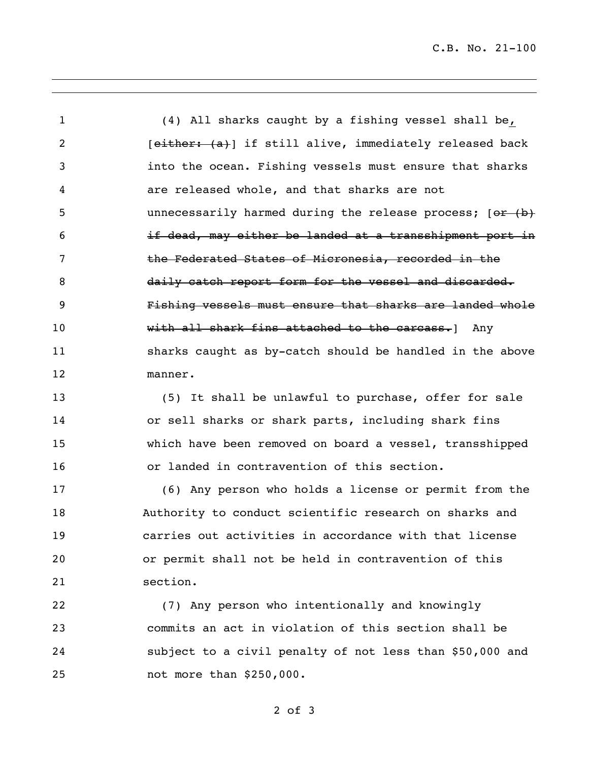(4) All sharks caught by a fishing vessel shall be, 2 [either: (a)] if still alive, immediately released back into the ocean. Fishing vessels must ensure that sharks are released whole, and that sharks are not 5 unnecessarily harmed during the release process; [or (b) if dead, may either be landed at a transshipment port in 7 the Federated States of Micronesia, recorded in the 8 daily catch report form for the vessel and discarded. Fishing vessels must ensure that sharks are landed whole **with all shark fins attached to the carcass.**] Any sharks caught as by-catch should be handled in the above manner.

 (5) It shall be unlawful to purchase, offer for sale or sell sharks or shark parts, including shark fins which have been removed on board a vessel, transshipped or landed in contravention of this section.

 (6) Any person who holds a license or permit from the Authority to conduct scientific research on sharks and carries out activities in accordance with that license or permit shall not be held in contravention of this section.

 (7) Any person who intentionally and knowingly commits an act in violation of this section shall be subject to a civil penalty of not less than \$50,000 and not more than \$250,000.

of 3